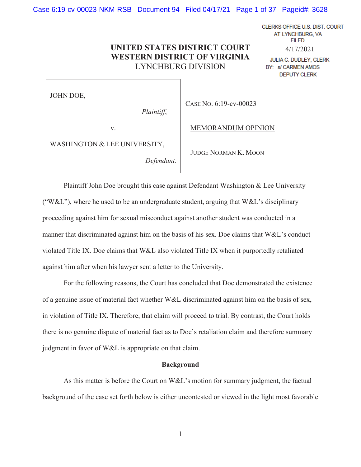Case 6:19-cv-00023-NKM-RSB Document 94 Filed 04/17/21 Page 1 of 37 Pageid#: 3628

**UNITED STATES DISTRICT COURT WESTERN DISTRICT OF VIRGINIA** LYNCHBURG DIVISION

JOHN DOE,

*Plaintiff*,

CASE NO. 6:19-cv-00023

v.

MEMORANDUM OPINION

4/17/2021

JULIA C. DUDLEY, CLERK BY: s/ CARMEN AMOS **DEPUTY CLERK** 

CLERKS OFFICE U.S. DIST. COURT AT LYNCHBURG, VA **FILED** 

WASHINGTON & LEE UNIVERSITY,

*Defendant.* 

JUDGE NORMAN K. MOON

Plaintiff John Doe brought this case against Defendant Washington & Lee University ("W&L"), where he used to be an undergraduate student, arguing that  $W\&L$ 's disciplinary proceeding against him for sexual misconduct against another student was conducted in a manner that discriminated against him on the basis of his sex. Doe claims that W&L's conduct violated Title IX. Doe claims that W&L also violated Title IX when it purportedly retaliated against him after when his lawyer sent a letter to the University.

For the following reasons, the Court has concluded that Doe demonstrated the existence of a genuine issue of material fact whether W&L discriminated against him on the basis of sex, in violation of Title IX. Therefore, that claim will proceed to trial. By contrast, the Court holds there is no genuine dispute of material fact as to Doe's retaliation claim and therefore summary judgment in favor of W&L is appropriate on that claim.

### **Background**

As this matter is before the Court on W&L's motion for summary judgment, the factual background of the case set forth below is either uncontested or viewed in the light most favorable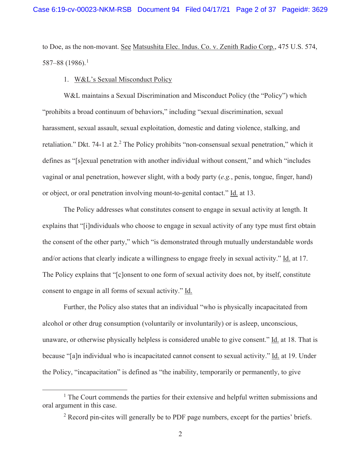to Doe, as the non-movant. See Matsushita Elec. Indus. Co. v. Zenith Radio Corp., 475 U.S. 574, 587–88 (1986).<sup>1</sup>

## 1. W&L's Sexual Misconduct Policy

 W&L maintains a Sexual Discrimination and Misconduct Policy (the "Policy") which "prohibits a broad continuum of behaviors," including "sexual discrimination, sexual harassment, sexual assault, sexual exploitation, domestic and dating violence, stalking, and retaliation." Dkt. 74-1 at 2.<sup>2</sup> The Policy prohibits "non-consensual sexual penetration," which it defines as "[s]exual penetration with another individual without consent," and which "includes vaginal or anal penetration, however slight, with a body party (*e.g.*, penis, tongue, finger, hand) or object, or oral penetration involving mount-to-genital contact." Id. at 13.

 The Policy addresses what constitutes consent to engage in sexual activity at length. It explains that "[i]ndividuals who choose to engage in sexual activity of any type must first obtain the consent of the other party," which "is demonstrated through mutually understandable words and/or actions that clearly indicate a willingness to engage freely in sexual activity." Id. at 17. The Policy explains that "[c]onsent to one form of sexual activity does not, by itself, constitute consent to engage in all forms of sexual activity." Id.

Further, the Policy also states that an individual "who is physically incapacitated from alcohol or other drug consumption (voluntarily or involuntarily) or is asleep, unconscious, unaware, or otherwise physically helpless is considered unable to give consent." Id. at 18. That is because "[a]n individual who is incapacitated cannot consent to sexual activity." Id. at 19. Under the Policy, "incapacitation" is defined as "the inability, temporarily or permanently, to give

<sup>&</sup>lt;sup>1</sup> The Court commends the parties for their extensive and helpful written submissions and oral argument in this case.

 $2$  Record pin-cites will generally be to PDF page numbers, except for the parties' briefs.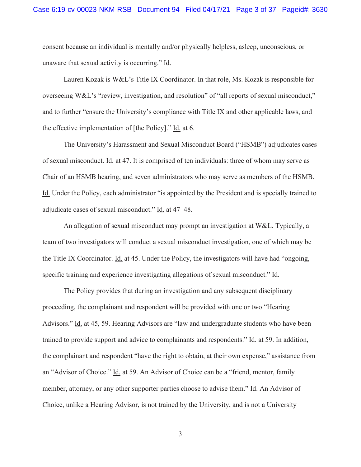consent because an individual is mentally and/or physically helpless, asleep, unconscious, or unaware that sexual activity is occurring." Id.

Lauren Kozak is W&L's Title IX Coordinator. In that role, Ms. Kozak is responsible for overseeing W&L's "review, investigation, and resolution" of "all reports of sexual misconduct," and to further "ensure the University's compliance with Title IX and other applicable laws, and the effective implementation of [the Policy]." Id. at 6.

 The University's Harassment and Sexual Misconduct Board ("HSMB") adjudicates cases of sexual misconduct. Id. at 47. It is comprised of ten individuals: three of whom may serve as Chair of an HSMB hearing, and seven administrators who may serve as members of the HSMB. Id. Under the Policy, each administrator "is appointed by the President and is specially trained to adjudicate cases of sexual misconduct." Id. at 47–48.

 An allegation of sexual misconduct may prompt an investigation at W&L. Typically, a team of two investigators will conduct a sexual misconduct investigation, one of which may be the Title IX Coordinator. Id. at 45. Under the Policy, the investigators will have had "ongoing, specific training and experience investigating allegations of sexual misconduct." Id.

 The Policy provides that during an investigation and any subsequent disciplinary proceeding, the complainant and respondent will be provided with one or two "Hearing Advisors." Id. at 45, 59. Hearing Advisors are "law and undergraduate students who have been trained to provide support and advice to complainants and respondents." Id. at 59. In addition, the complainant and respondent "have the right to obtain, at their own expense," assistance from an "Advisor of Choice." Id. at 59. An Advisor of Choice can be a "friend, mentor, family member, attorney, or any other supporter parties choose to advise them." Id. An Advisor of Choice, unlike a Hearing Advisor, is not trained by the University, and is not a University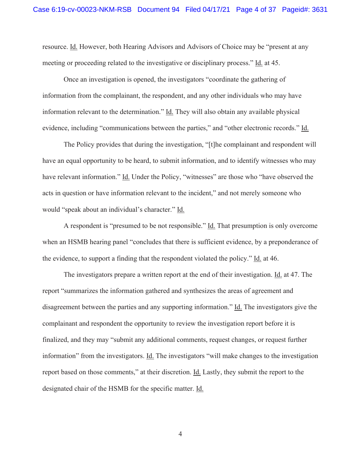resource. Id. However, both Hearing Advisors and Advisors of Choice may be "present at any meeting or proceeding related to the investigative or disciplinary process." Id. at 45.

Once an investigation is opened, the investigators "coordinate the gathering of information from the complainant, the respondent, and any other individuals who may have information relevant to the determination." Id. They will also obtain any available physical evidence, including "communications between the parties," and "other electronic records." Id.

The Policy provides that during the investigation, "[t]he complainant and respondent will have an equal opportunity to be heard, to submit information, and to identify witnesses who may have relevant information." Id. Under the Policy, "witnesses" are those who "have observed the acts in question or have information relevant to the incident," and not merely someone who would "speak about an individual's character." Id.

A respondent is "presumed to be not responsible." Id. That presumption is only overcome when an HSMB hearing panel "concludes that there is sufficient evidence, by a preponderance of the evidence, to support a finding that the respondent violated the policy." Id. at 46.

The investigators prepare a written report at the end of their investigation. Id. at 47. The report "summarizes the information gathered and synthesizes the areas of agreement and disagreement between the parties and any supporting information." Id. The investigators give the complainant and respondent the opportunity to review the investigation report before it is finalized, and they may "submit any additional comments, request changes, or request further information" from the investigators. Id. The investigators "will make changes to the investigation report based on those comments," at their discretion. Id. Lastly, they submit the report to the designated chair of the HSMB for the specific matter. Id.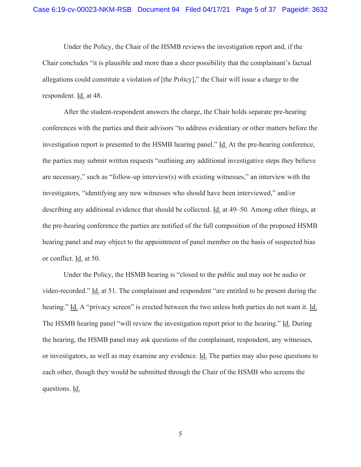Under the Policy, the Chair of the HSMB reviews the investigation report and, if the Chair concludes "it is plausible and more than a sheer possibility that the complainant's factual allegations could constitute a violation of [the Policy]," the Chair will issue a charge to the respondent. Id. at 48.

After the student-respondent answers the charge, the Chair holds separate pre-hearing conferences with the parties and their advisors "to address evidentiary or other matters before the investigation report is presented to the HSMB hearing panel." Id. At the pre-hearing conference, the parties may submit written requests "outlining any additional investigative steps they believe are necessary," such as "follow-up interview(s) with existing witnesses," an interview with the investigators, "identifying any new witnesses who should have been interviewed," and/or describing any additional evidence that should be collected. Id. at 49–50. Among other things, at the pre-hearing conference the parties are notified of the full composition of the proposed HSMB hearing panel and may object to the appointment of panel member on the basis of suspected bias or conflict. Id. at 50.

Under the Policy, the HSMB hearing is "closed to the public and may not be audio or video-recorded." Id. at 51. The complainant and respondent "are entitled to be present during the hearing." Id. A "privacy screen" is erected between the two unless both parties do not want it. Id. The HSMB hearing panel "will review the investigation report prior to the hearing." Id. During the hearing, the HSMB panel may ask questions of the complainant, respondent, any witnesses, or investigators, as well as may examine any evidence. Id. The parties may also pose questions to each other, though they would be submitted through the Chair of the HSMB who screens the questions. Id.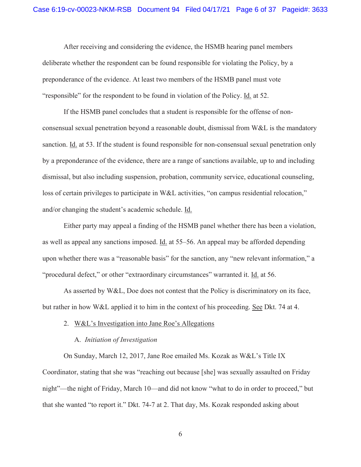After receiving and considering the evidence, the HSMB hearing panel members deliberate whether the respondent can be found responsible for violating the Policy, by a preponderance of the evidence. At least two members of the HSMB panel must vote "responsible" for the respondent to be found in violation of the Policy. Id. at 52.

If the HSMB panel concludes that a student is responsible for the offense of nonconsensual sexual penetration beyond a reasonable doubt, dismissal from W&L is the mandatory sanction. Id. at 53. If the student is found responsible for non-consensual sexual penetration only by a preponderance of the evidence, there are a range of sanctions available, up to and including dismissal, but also including suspension, probation, community service, educational counseling, loss of certain privileges to participate in W&L activities, "on campus residential relocation," and/or changing the student's academic schedule. Id.

Either party may appeal a finding of the HSMB panel whether there has been a violation, as well as appeal any sanctions imposed. Id. at 55–56. An appeal may be afforded depending upon whether there was a "reasonable basis" for the sanction, any "new relevant information," a "procedural defect," or other "extraordinary circumstances" warranted it. Id. at 56.

As asserted by W&L, Doe does not contest that the Policy is discriminatory on its face, but rather in how W&L applied it to him in the context of his proceeding. See Dkt. 74 at 4.

## 2. W&L's Investigation into Jane Roe's Allegations

### A. *Initiation of Investigation*

On Sunday, March 12, 2017, Jane Roe emailed Ms. Kozak as W&L's Title IX Coordinator, stating that she was "reaching out because [she] was sexually assaulted on Friday night"—the night of Friday, March 10—and did not know "what to do in order to proceed," but that she wanted "to report it." Dkt. 74-7 at 2. That day, Ms. Kozak responded asking about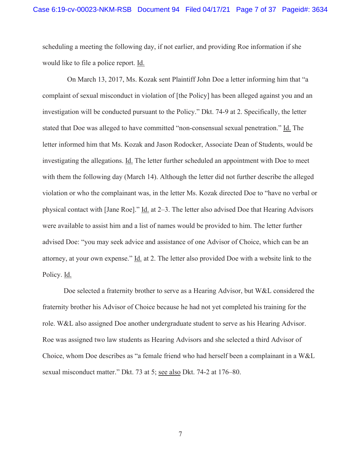scheduling a meeting the following day, if not earlier, and providing Roe information if she would like to file a police report. Id.

 On March 13, 2017, Ms. Kozak sent Plaintiff John Doe a letter informing him that "a complaint of sexual misconduct in violation of [the Policy] has been alleged against you and an investigation will be conducted pursuant to the Policy." Dkt. 74-9 at 2. Specifically, the letter stated that Doe was alleged to have committed "non-consensual sexual penetration." Id. The letter informed him that Ms. Kozak and Jason Rodocker, Associate Dean of Students, would be investigating the allegations. Id. The letter further scheduled an appointment with Doe to meet with them the following day (March 14). Although the letter did not further describe the alleged violation or who the complainant was, in the letter Ms. Kozak directed Doe to "have no verbal or physical contact with [Jane Roe]." Id. at 2–3. The letter also advised Doe that Hearing Advisors were available to assist him and a list of names would be provided to him. The letter further advised Doe: "you may seek advice and assistance of one Advisor of Choice, which can be an attorney, at your own expense." Id. at 2. The letter also provided Doe with a website link to the Policy. Id.

Doe selected a fraternity brother to serve as a Hearing Advisor, but W&L considered the fraternity brother his Advisor of Choice because he had not yet completed his training for the role. W&L also assigned Doe another undergraduate student to serve as his Hearing Advisor. Roe was assigned two law students as Hearing Advisors and she selected a third Advisor of Choice, whom Doe describes as "a female friend who had herself been a complainant in a W&L sexual misconduct matter." Dkt. 73 at 5; see also Dkt. 74-2 at 176–80.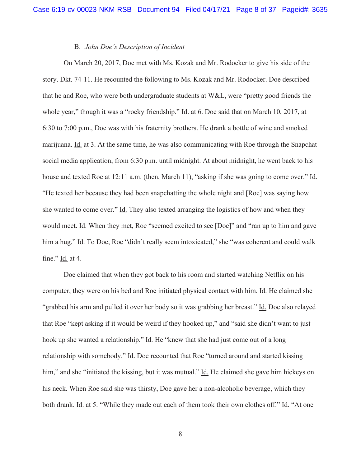# B. *John Doe's Description of Incident*

On March 20, 2017, Doe met with Ms. Kozak and Mr. Rodocker to give his side of the story. Dkt. 74-11. He recounted the following to Ms. Kozak and Mr. Rodocker. Doe described that he and Roe, who were both undergraduate students at W&L, were "pretty good friends the whole year," though it was a "rocky friendship." Id. at 6. Doe said that on March 10, 2017, at 6:30 to 7:00 p.m., Doe was with his fraternity brothers. He drank a bottle of wine and smoked marijuana. Id. at 3. At the same time, he was also communicating with Roe through the Snapchat social media application, from 6:30 p.m. until midnight. At about midnight, he went back to his house and texted Roe at 12:11 a.m. (then, March 11), "asking if she was going to come over." Id. "He texted her because they had been snapchatting the whole night and [Roe] was saying how she wanted to come over." Id. They also texted arranging the logistics of how and when they would meet. Id. When they met, Roe "seemed excited to see [Doe]" and "ran up to him and gave him a hug." Id. To Doe, Roe "didn't really seem intoxicated," she "was coherent and could walk fine." Id. at 4.

Doe claimed that when they got back to his room and started watching Netflix on his computer, they were on his bed and Roe initiated physical contact with him. Id. He claimed she "grabbed his arm and pulled it over her body so it was grabbing her breast." Id. Doe also relayed that Roe "kept asking if it would be weird if they hooked up," and "said she didn't want to just hook up she wanted a relationship." Id. He "knew that she had just come out of a long relationship with somebody." Id. Doe recounted that Roe "turned around and started kissing him," and she "initiated the kissing, but it was mutual." Id. He claimed she gave him hickeys on his neck. When Roe said she was thirsty, Doe gave her a non-alcoholic beverage, which they both drank. Id. at 5. "While they made out each of them took their own clothes off." Id. "At one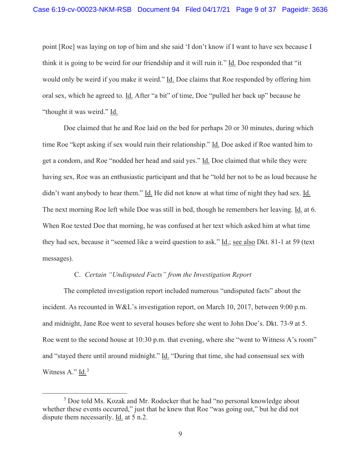point [Roe] was laying on top of him and she said 'I don't know if I want to have sex because I think it is going to be weird for our friendship and it will ruin it." Id. Doe responded that "it would only be weird if you make it weird." Id. Doe claims that Roe responded by offering him oral sex, which he agreed to. Id. After "a bit" of time, Doe "pulled her back up" because he "thought it was weird." Id.

Doe claimed that he and Roe laid on the bed for perhaps 20 or 30 minutes, during which time Roe "kept asking if sex would ruin their relationship." Id. Doe asked if Roe wanted him to get a condom, and Roe "nodded her head and said yes." Id. Doe claimed that while they were having sex, Roe was an enthusiastic participant and that he "told her not to be as loud because he didn't want anybody to hear them." Id. He did not know at what time of night they had sex. Id. The next morning Roe left while Doe was still in bed, though he remembers her leaving. Id. at 6. When Roe texted Doe that morning, he was confused at her text which asked him at what time they had sex, because it "seemed like a weird question to ask." Id.; see also Dkt. 81-1 at 59 (text messages).

# C. *Certain "Undisputed Facts" from the Investigation Report*

The completed investigation report included numerous "undisputed facts" about the incident. As recounted in W&L's investigation report, on March 10, 2017, between 9:00 p.m. and midnight, Jane Roe went to several houses before she went to John Doe's. Dkt. 73-9 at 5. Roe went to the second house at 10:30 p.m. that evening, where she "went to Witness A's room" and "stayed there until around midnight." Id. "During that time, she had consensual sex with Witness A."  $\underline{Id}$ .<sup>3</sup>

<sup>&</sup>lt;sup>3</sup> Doe told Ms. Kozak and Mr. Rodocker that he had "no personal knowledge about whether these events occurred," just that he knew that Roe "was going out," but he did not dispute them necessarily. Id. at 5 n.2.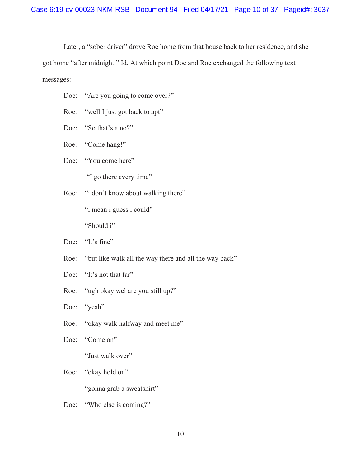Later, a "sober driver" drove Roe home from that house back to her residence, and she got home "after midnight." Id. At which point Doe and Roe exchanged the following text messages:

- Doe: "Are you going to come over?"
- Roe: "well I just got back to apt"
- Doe: "So that's a no?"
- Roe: "Come hang!"
- Doe: "You come here"

"I go there every time"

Roe: "i don't know about walking there"

"i mean i guess i could"

"Should i"

- Doe: "It's fine"
- Roe: "but like walk all the way there and all the way back"
- Doe: "It's not that far"
- Roe: "ugh okay wel are you still up?"

Doe: "yeah"

Roe: "okay walk halfway and meet me"

Doe: "Come on"

"Just walk over"

## Roe: "okay hold on"

"gonna grab a sweatshirt"

Doe: "Who else is coming?"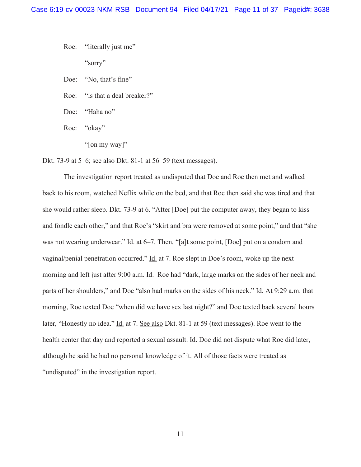Roe: "literally just me" "sorry"

- Doe: 'No, that's fine"
- Roe: "is that a deal breaker?"
- Doe: "Haha no"
- Roe: "okay"
	- "[on my way]"

Dkt. 73-9 at 5–6; see also Dkt. 81-1 at 56–59 (text messages).

The investigation report treated as undisputed that Doe and Roe then met and walked back to his room, watched Neflix while on the bed, and that Roe then said she was tired and that she would rather sleep. Dkt. 73-9 at 6. "After [Doe] put the computer away, they began to kiss and fondle each other," and that Roe's "skirt and bra were removed at some point," and that "she was not wearing underwear." Id. at 6–7. Then, "[a]t some point, [Doe] put on a condom and vaginal/penial penetration occurred." Id. at 7. Roe slept in Doe's room, woke up the next morning and left just after 9:00 a.m. Id. Roe had "dark, large marks on the sides of her neck and parts of her shoulders," and Doe "also had marks on the sides of his neck." Id. At 9:29 a.m. that morning, Roe texted Doe "when did we have sex last night?" and Doe texted back several hours later, "Honestly no idea." Id. at 7. See also Dkt. 81-1 at 59 (text messages). Roe went to the health center that day and reported a sexual assault. Id. Doe did not dispute what Roe did later, although he said he had no personal knowledge of it. All of those facts were treated as "undisputed" in the investigation report.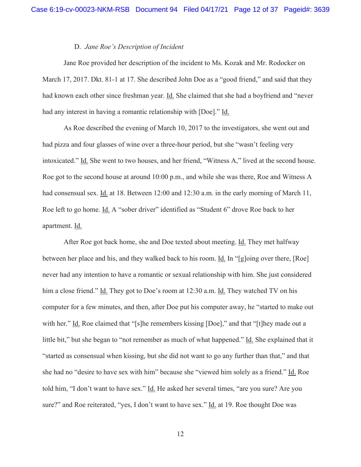# D. *Jane Roe's Description of Incident*

Jane Roe provided her description of the incident to Ms. Kozak and Mr. Rodocker on March 17, 2017. Dkt. 81-1 at 17. She described John Doe as a "good friend," and said that they had known each other since freshman year. Id. She claimed that she had a boyfriend and "never had any interest in having a romantic relationship with [Doe]." Id.

As Roe described the evening of March 10, 2017 to the investigators, she went out and had pizza and four glasses of wine over a three-hour period, but she "wasn't feeling very intoxicated." Id. She went to two houses, and her friend, "Witness A," lived at the second house. Roe got to the second house at around 10:00 p.m., and while she was there, Roe and Witness A had consensual sex. Id. at 18. Between 12:00 and 12:30 a.m. in the early morning of March 11, Roe left to go home. Id. A "sober driver" identified as "Student 6" drove Roe back to her apartment. Id.

After Roe got back home, she and Doe texted about meeting. Id. They met halfway between her place and his, and they walked back to his room. Id. In "[g]oing over there, [Roe] never had any intention to have a romantic or sexual relationship with him. She just considered him a close friend." Id. They got to Doe's room at 12:30 a.m. Id. They watched TV on his computer for a few minutes, and then, after Doe put his computer away, he "started to make out with her." Id. Roe claimed that "[s]he remembers kissing [Doe]," and that "[t]hey made out a little bit," but she began to "not remember as much of what happened." Id. She explained that it "started as consensual when kissing, but she did not want to go any further than that," and that she had no "desire to have sex with him" because she "viewed him solely as a friend." Id. Roe told him, "I don't want to have sex." Id. He asked her several times, "are you sure? Are you sure?" and Roe reiterated, "yes, I don't want to have sex." Id. at 19. Roe thought Doe was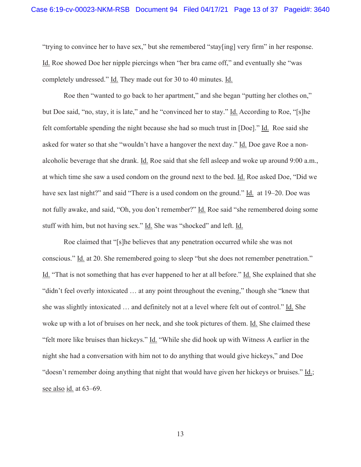"trying to convince her to have sex," but she remembered "stay[ing] very firm" in her response. Id. Roe showed Doe her nipple piercings when "her bra came off," and eventually she "was completely undressed." Id. They made out for 30 to 40 minutes. Id.

Roe then "wanted to go back to her apartment," and she began "putting her clothes on," but Doe said, "no, stay, it is late," and he "convinced her to stay." Id. According to Roe, "[s]he felt comfortable spending the night because she had so much trust in [Doe]." Id. Roe said she asked for water so that she "wouldn't have a hangover the next day." Id. Doe gave Roe a nonalcoholic beverage that she drank. Id. Roe said that she fell asleep and woke up around 9:00 a.m., at which time she saw a used condom on the ground next to the bed. Id. Roe asked Doe, "Did we have sex last night?" and said "There is a used condom on the ground." Id. at 19–20. Doe was not fully awake, and said, "Oh, you don't remember?" Id. Roe said "she remembered doing some stuff with him, but not having sex." Id. She was "shocked" and left. Id.

Roe claimed that "[s]he believes that any penetration occurred while she was not conscious." Id. at 20. She remembered going to sleep "but she does not remember penetration." Id. "That is not something that has ever happened to her at all before." Id. She explained that she "didn't feel overly intoxicated … at any point throughout the evening," though she "knew that she was slightly intoxicated … and definitely not at a level where felt out of control." Id. She woke up with a lot of bruises on her neck, and she took pictures of them. Id. She claimed these "felt more like bruises than hickeys." Id. "While she did hook up with Witness A earlier in the night she had a conversation with him not to do anything that would give hickeys," and Doe "doesn't remember doing anything that night that would have given her hickeys or bruises." Id.; see also id. at 63–69.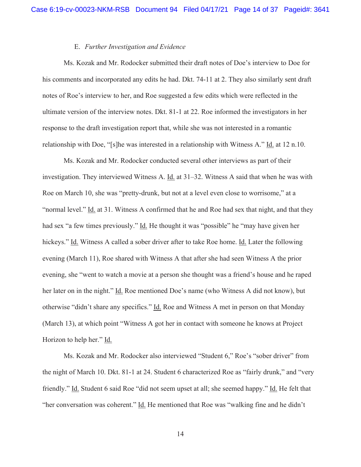## E. *Further Investigation and Evidence*

Ms. Kozak and Mr. Rodocker submitted their draft notes of Doe's interview to Doe for his comments and incorporated any edits he had. Dkt. 74-11 at 2. They also similarly sent draft notes of Roe's interview to her, and Roe suggested a few edits which were reflected in the ultimate version of the interview notes. Dkt. 81-1 at 22. Roe informed the investigators in her response to the draft investigation report that, while she was not interested in a romantic relationship with Doe, "[s]he was interested in a relationship with Witness A." Id. at 12 n.10.

Ms. Kozak and Mr. Rodocker conducted several other interviews as part of their investigation. They interviewed Witness A. Id. at 31–32. Witness A said that when he was with Roe on March 10, she was "pretty-drunk, but not at a level even close to worrisome," at a "normal level." Id. at 31. Witness A confirmed that he and Roe had sex that night, and that they had sex "a few times previously." Id. He thought it was "possible" he "may have given her hickeys." Id. Witness A called a sober driver after to take Roe home. Id. Later the following evening (March 11), Roe shared with Witness A that after she had seen Witness A the prior evening, she "went to watch a movie at a person she thought was a friend's house and he raped her later on in the night." Id. Roe mentioned Doe's name (who Witness A did not know), but otherwise "didn't share any specifics." Id. Roe and Witness A met in person on that Monday (March 13), at which point "Witness A got her in contact with someone he knows at Project Horizon to help her." Id.

Ms. Kozak and Mr. Rodocker also interviewed "Student 6," Roe's "sober driver" from the night of March 10. Dkt. 81-1 at 24. Student 6 characterized Roe as "fairly drunk," and "very friendly." Id. Student 6 said Roe "did not seem upset at all; she seemed happy." Id. He felt that "her conversation was coherent." Id. He mentioned that Roe was "walking fine and he didn't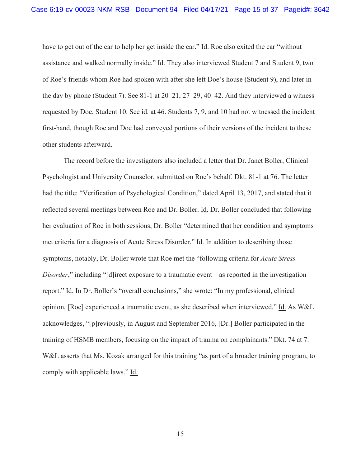have to get out of the car to help her get inside the car." Id. Roe also exited the car "without assistance and walked normally inside." Id. They also interviewed Student 7 and Student 9, two of Roe's friends whom Roe had spoken with after she left Doe's house (Student 9), and later in the day by phone (Student 7). See 81-1 at 20–21, 27–29, 40–42. And they interviewed a witness requested by Doe, Student 10. See id. at 46. Students 7, 9, and 10 had not witnessed the incident first-hand, though Roe and Doe had conveyed portions of their versions of the incident to these other students afterward.

The record before the investigators also included a letter that Dr. Janet Boller, Clinical Psychologist and University Counselor, submitted on Roe's behalf. Dkt. 81-1 at 76. The letter had the title: "Verification of Psychological Condition," dated April 13, 2017, and stated that it reflected several meetings between Roe and Dr. Boller. Id. Dr. Boller concluded that following her evaluation of Roe in both sessions, Dr. Boller "determined that her condition and symptoms met criteria for a diagnosis of Acute Stress Disorder." Id. In addition to describing those symptoms, notably, Dr. Boller wrote that Roe met the "following criteria for *Acute Stress Disorder*," including "[d]irect exposure to a traumatic event—as reported in the investigation report." Id. In Dr. Boller's "overall conclusions," she wrote: "In my professional, clinical opinion, [Roe] experienced a traumatic event, as she described when interviewed." Id. As W&L acknowledges, "[p]reviously, in August and September 2016, [Dr.] Boller participated in the training of HSMB members, focusing on the impact of trauma on complainants." Dkt. 74 at 7. W&L asserts that Ms. Kozak arranged for this training "as part of a broader training program, to comply with applicable laws." Id.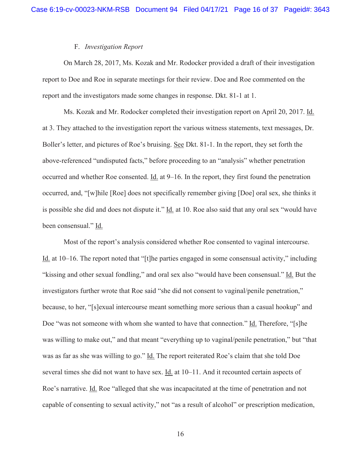# F. *Investigation Report*

On March 28, 2017, Ms. Kozak and Mr. Rodocker provided a draft of their investigation report to Doe and Roe in separate meetings for their review. Doe and Roe commented on the report and the investigators made some changes in response. Dkt. 81-1 at 1.

Ms. Kozak and Mr. Rodocker completed their investigation report on April 20, 2017. Id. at 3. They attached to the investigation report the various witness statements, text messages, Dr. Boller's letter, and pictures of Roe's bruising. See Dkt. 81-1. In the report, they set forth the above-referenced "undisputed facts," before proceeding to an "analysis" whether penetration occurred and whether Roe consented. Id. at 9–16. In the report, they first found the penetration occurred, and, "[w]hile [Roe] does not specifically remember giving [Doe] oral sex, she thinks it is possible she did and does not dispute it." Id. at 10. Roe also said that any oral sex "would have been consensual." Id.

Most of the report's analysis considered whether Roe consented to vaginal intercourse. Id. at 10–16. The report noted that "[t]he parties engaged in some consensual activity," including "kissing and other sexual fondling," and oral sex also "would have been consensual." Id. But the investigators further wrote that Roe said "she did not consent to vaginal/penile penetration," because, to her, "[s]exual intercourse meant something more serious than a casual hookup" and Doe "was not someone with whom she wanted to have that connection." Id. Therefore, "[s]he was willing to make out," and that meant "everything up to vaginal/penile penetration," but "that was as far as she was willing to go." Id. The report reiterated Roe's claim that she told Doe several times she did not want to have sex. Id. at 10–11. And it recounted certain aspects of Roe's narrative. Id. Roe "alleged that she was incapacitated at the time of penetration and not capable of consenting to sexual activity," not "as a result of alcohol" or prescription medication,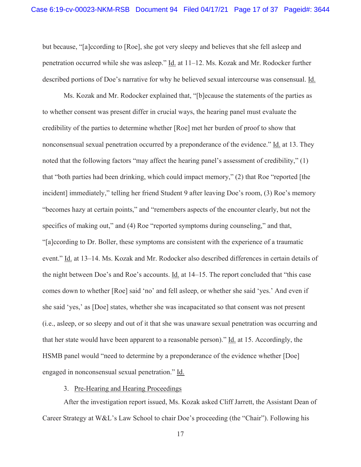but because, "[a]ccording to [Roe], she got very sleepy and believes that she fell asleep and penetration occurred while she was asleep." Id. at 11–12. Ms. Kozak and Mr. Rodocker further described portions of Doe's narrative for why he believed sexual intercourse was consensual. Id.

Ms. Kozak and Mr. Rodocker explained that, "[b]ecause the statements of the parties as to whether consent was present differ in crucial ways, the hearing panel must evaluate the credibility of the parties to determine whether [Roe] met her burden of proof to show that nonconsensual sexual penetration occurred by a preponderance of the evidence." Id. at 13. They noted that the following factors "may affect the hearing panel's assessment of credibility," (1) that "both parties had been drinking, which could impact memory," (2) that Roe "reported [the incident] immediately," telling her friend Student 9 after leaving Doe's room, (3) Roe's memory "becomes hazy at certain points," and "remembers aspects of the encounter clearly, but not the specifics of making out," and (4) Roe "reported symptoms during counseling," and that, "[a]ccording to Dr. Boller, these symptoms are consistent with the experience of a traumatic event." Id. at 13–14. Ms. Kozak and Mr. Rodocker also described differences in certain details of the night between Doe's and Roe's accounts. Id. at 14–15. The report concluded that "this case" comes down to whether [Roe] said 'no' and fell asleep, or whether she said 'yes.' And even if she said 'yes,' as [Doe] states, whether she was incapacitated so that consent was not present (i.e., asleep, or so sleepy and out of it that she was unaware sexual penetration was occurring and that her state would have been apparent to a reasonable person)." Id. at 15. Accordingly, the HSMB panel would "need to determine by a preponderance of the evidence whether [Doe] engaged in nonconsensual sexual penetration." Id.

# 3. Pre-Hearing and Hearing Proceedings

After the investigation report issued, Ms. Kozak asked Cliff Jarrett, the Assistant Dean of Career Strategy at W&L's Law School to chair Doe's proceeding (the "Chair"). Following his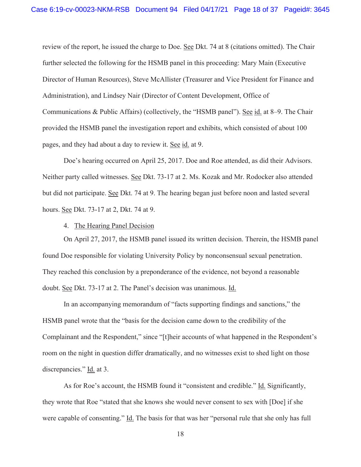review of the report, he issued the charge to Doe. See Dkt. 74 at 8 (citations omitted). The Chair further selected the following for the HSMB panel in this proceeding: Mary Main (Executive Director of Human Resources), Steve McAllister (Treasurer and Vice President for Finance and Administration), and Lindsey Nair (Director of Content Development, Office of Communications & Public Affairs) (collectively, the "HSMB panel"). See id. at 8–9. The Chair provided the HSMB panel the investigation report and exhibits, which consisted of about 100 pages, and they had about a day to review it. See id. at 9.

Doe's hearing occurred on April 25, 2017. Doe and Roe attended, as did their Advisors. Neither party called witnesses. See Dkt. 73-17 at 2. Ms. Kozak and Mr. Rodocker also attended but did not participate. See Dkt. 74 at 9. The hearing began just before noon and lasted several hours. See Dkt. 73-17 at 2, Dkt. 74 at 9.

4. The Hearing Panel Decision

On April 27, 2017, the HSMB panel issued its written decision. Therein, the HSMB panel found Doe responsible for violating University Policy by nonconsensual sexual penetration. They reached this conclusion by a preponderance of the evidence, not beyond a reasonable doubt. See Dkt. 73-17 at 2. The Panel's decision was unanimous. Id.

In an accompanying memorandum of "facts supporting findings and sanctions," the HSMB panel wrote that the "basis for the decision came down to the credibility of the Complainant and the Respondent," since "[t]heir accounts of what happened in the Respondent's room on the night in question differ dramatically, and no witnesses exist to shed light on those discrepancies." Id. at 3.

As for Roe's account, the HSMB found it "consistent and credible." Id. Significantly, they wrote that Roe "stated that she knows she would never consent to sex with [Doe] if she were capable of consenting." Id. The basis for that was her "personal rule that she only has full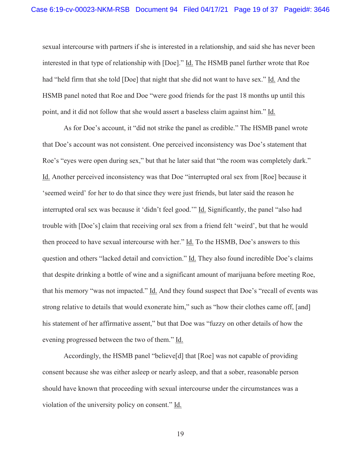sexual intercourse with partners if she is interested in a relationship, and said she has never been interested in that type of relationship with [Doe]." Id. The HSMB panel further wrote that Roe had "held firm that she told [Doe] that night that she did not want to have sex." Id. And the HSMB panel noted that Roe and Doe "were good friends for the past 18 months up until this point, and it did not follow that she would assert a baseless claim against him." Id.

As for Doe's account, it "did not strike the panel as credible." The HSMB panel wrote that Doe's account was not consistent. One perceived inconsistency was Doe's statement that Roe's "eyes were open during sex," but that he later said that "the room was completely dark." Id. Another perceived inconsistency was that Doe "interrupted oral sex from [Roe] because it 'seemed weird' for her to do that since they were just friends, but later said the reason he interrupted oral sex was because it 'didn't feel good.'" Id. Significantly, the panel "also had trouble with [Doe's] claim that receiving oral sex from a friend felt 'weird', but that he would then proceed to have sexual intercourse with her." Id. To the HSMB, Doe's answers to this question and others "lacked detail and conviction." Id. They also found incredible Doe's claims that despite drinking a bottle of wine and a significant amount of marijuana before meeting Roe, that his memory "was not impacted." Id. And they found suspect that Doe's "recall of events was strong relative to details that would exonerate him," such as "how their clothes came off, [and] his statement of her affirmative assent," but that Doe was "fuzzy on other details of how the evening progressed between the two of them." Id.

Accordingly, the HSMB panel "believe[d] that [Roe] was not capable of providing consent because she was either asleep or nearly asleep, and that a sober, reasonable person should have known that proceeding with sexual intercourse under the circumstances was a violation of the university policy on consent." Id.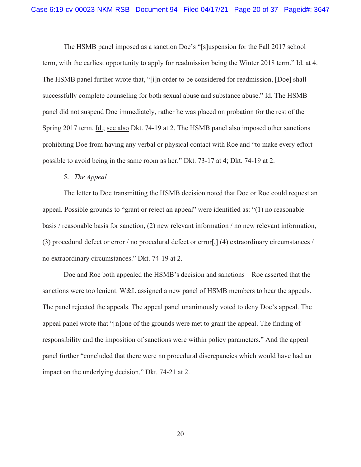The HSMB panel imposed as a sanction Doe's "[s]uspension for the Fall 2017 school term, with the earliest opportunity to apply for readmission being the Winter 2018 term." Id. at 4. The HSMB panel further wrote that, "[i]n order to be considered for readmission, [Doe] shall successfully complete counseling for both sexual abuse and substance abuse." Id. The HSMB panel did not suspend Doe immediately, rather he was placed on probation for the rest of the Spring 2017 term. Id.; see also Dkt. 74-19 at 2. The HSMB panel also imposed other sanctions prohibiting Doe from having any verbal or physical contact with Roe and "to make every effort possible to avoid being in the same room as her." Dkt. 73-17 at 4; Dkt. 74-19 at 2.

## 5. *The Appeal*

The letter to Doe transmitting the HSMB decision noted that Doe or Roe could request an appeal. Possible grounds to "grant or reject an appeal" were identified as: "(1) no reasonable basis / reasonable basis for sanction, (2) new relevant information / no new relevant information, (3) procedural defect or error / no procedural defect or error[,] (4) extraordinary circumstances / no extraordinary circumstances." Dkt. 74-19 at 2.

Doe and Roe both appealed the HSMB's decision and sanctions—Roe asserted that the sanctions were too lenient. W&L assigned a new panel of HSMB members to hear the appeals. The panel rejected the appeals. The appeal panel unanimously voted to deny Doe's appeal. The appeal panel wrote that "[n]one of the grounds were met to grant the appeal. The finding of responsibility and the imposition of sanctions were within policy parameters." And the appeal panel further "concluded that there were no procedural discrepancies which would have had an impact on the underlying decision." Dkt. 74-21 at 2.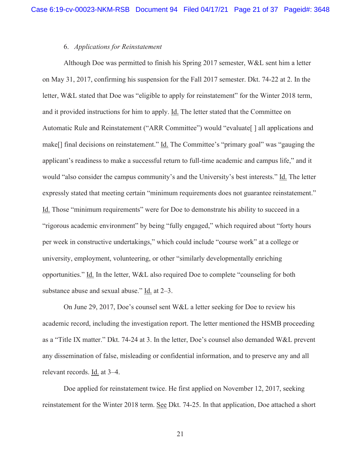# 6. *Applications for Reinstatement*

Although Doe was permitted to finish his Spring 2017 semester, W&L sent him a letter on May 31, 2017, confirming his suspension for the Fall 2017 semester. Dkt. 74-22 at 2. In the letter, W&L stated that Doe was "eligible to apply for reinstatement" for the Winter 2018 term, and it provided instructions for him to apply. Id. The letter stated that the Committee on Automatic Rule and Reinstatement ("ARR Committee") would "evaluate<sup>[]</sup> all applications and make[] final decisions on reinstatement." Id. The Committee's "primary goal" was "gauging the applicant's readiness to make a successful return to full-time academic and campus life," and it would "also consider the campus community's and the University's best interests." Id. The letter expressly stated that meeting certain "minimum requirements does not guarantee reinstatement." Id. Those "minimum requirements" were for Doe to demonstrate his ability to succeed in a "rigorous academic environment" by being "fully engaged," which required about "forty hours per week in constructive undertakings," which could include "course work" at a college or university, employment, volunteering, or other "similarly developmentally enriching opportunities." Id. In the letter, W&L also required Doe to complete "counseling for both substance abuse and sexual abuse." Id. at 2–3.

On June 29, 2017, Doe's counsel sent W&L a letter seeking for Doe to review his academic record, including the investigation report. The letter mentioned the HSMB proceeding as a "Title IX matter." Dkt. 74-24 at 3. In the letter, Doe's counsel also demanded W&L prevent any dissemination of false, misleading or confidential information, and to preserve any and all relevant records. Id. at 3–4.

Doe applied for reinstatement twice. He first applied on November 12, 2017, seeking reinstatement for the Winter 2018 term. See Dkt. 74-25. In that application, Doe attached a short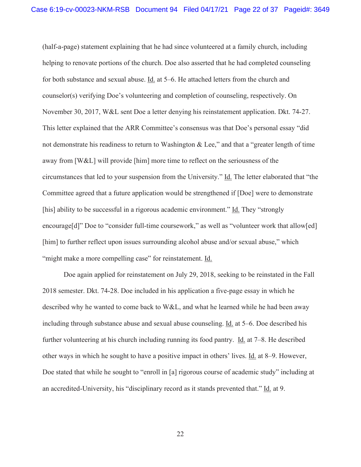(half-a-page) statement explaining that he had since volunteered at a family church, including helping to renovate portions of the church. Doe also asserted that he had completed counseling for both substance and sexual abuse. Id. at 5–6. He attached letters from the church and counselor(s) verifying Doe's volunteering and completion of counseling, respectively. On November 30, 2017, W&L sent Doe a letter denying his reinstatement application. Dkt. 74-27. This letter explained that the ARR Committee's consensus was that Doe's personal essay "did not demonstrate his readiness to return to Washington & Lee," and that a "greater length of time away from [W&L] will provide [him] more time to reflect on the seriousness of the circumstances that led to your suspension from the University." Id. The letter elaborated that "the Committee agreed that a future application would be strengthened if [Doe] were to demonstrate [his] ability to be successful in a rigorous academic environment." Id. They "strongly encourage[d]" Doe to "consider full-time coursework," as well as "volunteer work that allow[ed] [him] to further reflect upon issues surrounding alcohol abuse and/or sexual abuse," which "might make a more compelling case" for reinstatement. Id.

Doe again applied for reinstatement on July 29, 2018, seeking to be reinstated in the Fall 2018 semester. Dkt. 74-28. Doe included in his application a five-page essay in which he described why he wanted to come back to W&L, and what he learned while he had been away including through substance abuse and sexual abuse counseling. Id. at 5–6. Doe described his further volunteering at his church including running its food pantry. Id. at 7–8. He described other ways in which he sought to have a positive impact in others' lives. Id. at 8–9. However, Doe stated that while he sought to "enroll in [a] rigorous course of academic study" including at an accredited-University, his "disciplinary record as it stands prevented that." Id. at 9.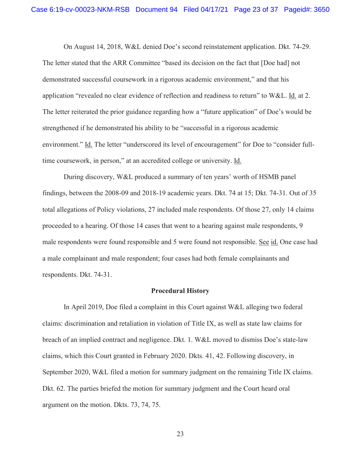On August 14, 2018, W&L denied Doe's second reinstatement application. Dkt. 74-29. The letter stated that the ARR Committee "based its decision on the fact that [Doe had] not demonstrated successful coursework in a rigorous academic environment," and that his application "revealed no clear evidence of reflection and readiness to return" to W&L. Id. at 2. The letter reiterated the prior guidance regarding how a "future application" of Doe's would be strengthened if he demonstrated his ability to be "successful in a rigorous academic environment." Id. The letter "underscored its level of encouragement" for Doe to "consider fulltime coursework, in person," at an accredited college or university. Id.

During discovery, W&L produced a summary of ten years' worth of HSMB panel findings, between the 2008-09 and 2018-19 academic years. Dkt. 74 at 15; Dkt. 74-31. Out of 35 total allegations of Policy violations, 27 included male respondents. Of those 27, only 14 claims proceeded to a hearing. Of those 14 cases that went to a hearing against male respondents, 9 male respondents were found responsible and 5 were found not responsible. See id. One case had a male complainant and male respondent; four cases had both female complainants and respondents. Dkt. 74-31.

### **Procedural History**

 In April 2019, Doe filed a complaint in this Court against W&L alleging two federal claims: discrimination and retaliation in violation of Title IX, as well as state law claims for breach of an implied contract and negligence. Dkt. 1. W&L moved to dismiss Doe's state-law claims, which this Court granted in February 2020. Dkts. 41, 42. Following discovery, in September 2020, W&L filed a motion for summary judgment on the remaining Title IX claims. Dkt. 62. The parties briefed the motion for summary judgment and the Court heard oral argument on the motion. Dkts. 73, 74, 75.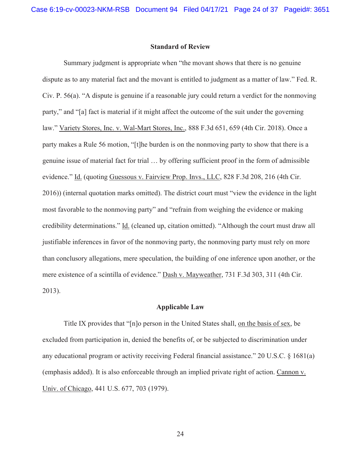## **Standard of Review**

 Summary judgment is appropriate when "the movant shows that there is no genuine dispute as to any material fact and the movant is entitled to judgment as a matter of law." Fed. R. Civ. P. 56(a). "A dispute is genuine if a reasonable jury could return a verdict for the nonmoving party," and "[a] fact is material if it might affect the outcome of the suit under the governing law." Variety Stores, Inc. v. Wal-Mart Stores, Inc., 888 F.3d 651, 659 (4th Cir. 2018). Once a party makes a Rule 56 motion, "[t]he burden is on the nonmoving party to show that there is a genuine issue of material fact for trial … by offering sufficient proof in the form of admissible evidence." Id. (quoting Guessous v. Fairview Prop. Invs., LLC, 828 F.3d 208, 216 (4th Cir. 2016)) (internal quotation marks omitted). The district court must "view the evidence in the light most favorable to the nonmoving party" and "refrain from weighing the evidence or making credibility determinations." Id. (cleaned up, citation omitted). "Although the court must draw all justifiable inferences in favor of the nonmoving party, the nonmoving party must rely on more than conclusory allegations, mere speculation, the building of one inference upon another, or the mere existence of a scintilla of evidence." Dash v. Mayweather, 731 F.3d 303, 311 (4th Cir. 2013).

### **Applicable Law**

 Title IX provides that "[n]o person in the United States shall, on the basis of sex, be excluded from participation in, denied the benefits of, or be subjected to discrimination under any educational program or activity receiving Federal financial assistance." 20 U.S.C. § 1681(a) (emphasis added). It is also enforceable through an implied private right of action. Cannon v. Univ. of Chicago, 441 U.S. 677, 703 (1979).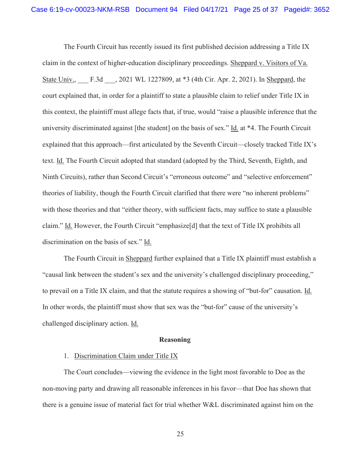The Fourth Circuit has recently issued its first published decision addressing a Title IX claim in the context of higher-education disciplinary proceedings. Sheppard v. Visitors of Va. State Univ., F.3d , 2021 WL 1227809, at \*3 (4th Cir. Apr. 2, 2021). In Sheppard, the court explained that, in order for a plaintiff to state a plausible claim to relief under Title IX in this context, the plaintiff must allege facts that, if true, would "raise a plausible inference that the university discriminated against [the student] on the basis of sex." Id. at \*4. The Fourth Circuit explained that this approach—first articulated by the Seventh Circuit—closely tracked Title IX's text. Id. The Fourth Circuit adopted that standard (adopted by the Third, Seventh, Eighth, and Ninth Circuits), rather than Second Circuit's "erroneous outcome" and "selective enforcement" theories of liability, though the Fourth Circuit clarified that there were "no inherent problems" with those theories and that "either theory, with sufficient facts, may suffice to state a plausible claim." Id. However, the Fourth Circuit "emphasize[d] that the text of Title IX prohibits all discrimination on the basis of sex." Id.

The Fourth Circuit in Sheppard further explained that a Title IX plaintiff must establish a "causal link between the student's sex and the university's challenged disciplinary proceeding," to prevail on a Title IX claim, and that the statute requires a showing of "but-for" causation. Id. In other words, the plaintiff must show that sex was the "but-for" cause of the university's challenged disciplinary action. Id.

#### **Reasoning**

# 1. Discrimination Claim under Title IX

The Court concludes—viewing the evidence in the light most favorable to Doe as the non-moving party and drawing all reasonable inferences in his favor—that Doe has shown that there is a genuine issue of material fact for trial whether W&L discriminated against him on the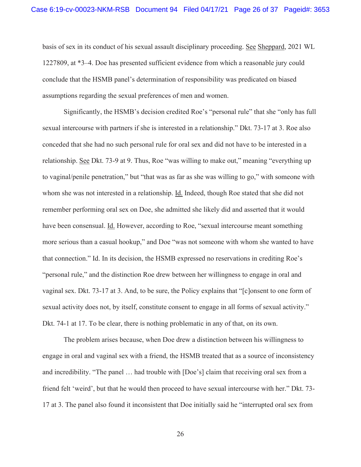basis of sex in its conduct of his sexual assault disciplinary proceeding. See Sheppard, 2021 WL 1227809, at \*3–4. Doe has presented sufficient evidence from which a reasonable jury could conclude that the HSMB panel's determination of responsibility was predicated on biased assumptions regarding the sexual preferences of men and women.

Significantly, the HSMB's decision credited Roe's "personal rule" that she "only has full sexual intercourse with partners if she is interested in a relationship." Dkt. 73-17 at 3. Roe also conceded that she had no such personal rule for oral sex and did not have to be interested in a relationship. See Dkt. 73-9 at 9. Thus, Roe "was willing to make out," meaning "everything up to vaginal/penile penetration," but "that was as far as she was willing to go," with someone with whom she was not interested in a relationship. Id. Indeed, though Roe stated that she did not remember performing oral sex on Doe, she admitted she likely did and asserted that it would have been consensual. Id. However, according to Roe, "sexual intercourse meant something more serious than a casual hookup," and Doe "was not someone with whom she wanted to have that connection." Id. In its decision, the HSMB expressed no reservations in crediting Roe's "personal rule," and the distinction Roe drew between her willingness to engage in oral and vaginal sex. Dkt. 73-17 at 3. And, to be sure, the Policy explains that "[c]onsent to one form of sexual activity does not, by itself, constitute consent to engage in all forms of sexual activity." Dkt. 74-1 at 17. To be clear, there is nothing problematic in any of that, on its own.

 The problem arises because, when Doe drew a distinction between his willingness to engage in oral and vaginal sex with a friend, the HSMB treated that as a source of inconsistency and incredibility. "The panel … had trouble with [Doe's] claim that receiving oral sex from a friend felt 'weird', but that he would then proceed to have sexual intercourse with her." Dkt. 73- 17 at 3. The panel also found it inconsistent that Doe initially said he "interrupted oral sex from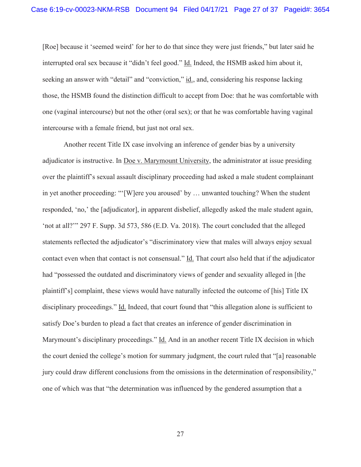[Roe] because it 'seemed weird' for her to do that since they were just friends," but later said he interrupted oral sex because it "didn't feel good." Id. Indeed, the HSMB asked him about it, seeking an answer with "detail" and "conviction," id., and, considering his response lacking those, the HSMB found the distinction difficult to accept from Doe: that he was comfortable with one (vaginal intercourse) but not the other (oral sex); or that he was comfortable having vaginal intercourse with a female friend, but just not oral sex.

Another recent Title IX case involving an inference of gender bias by a university adjudicator is instructive. In Doe v. Marymount University, the administrator at issue presiding over the plaintiff's sexual assault disciplinary proceeding had asked a male student complainant in yet another proceeding: "'[W]ere you aroused' by … unwanted touching? When the student responded, 'no,' the [adjudicator], in apparent disbelief, allegedly asked the male student again, 'not at all?'" 297 F. Supp. 3d 573, 586 (E.D. Va. 2018). The court concluded that the alleged statements reflected the adjudicator's "discriminatory view that males will always enjoy sexual contact even when that contact is not consensual." Id. That court also held that if the adjudicator had "possessed the outdated and discriminatory views of gender and sexuality alleged in [the plaintiff's] complaint, these views would have naturally infected the outcome of [his] Title IX disciplinary proceedings." Id. Indeed, that court found that "this allegation alone is sufficient to satisfy Doe's burden to plead a fact that creates an inference of gender discrimination in Marymount's disciplinary proceedings." Id. And in an another recent Title IX decision in which the court denied the college's motion for summary judgment, the court ruled that "[a] reasonable jury could draw different conclusions from the omissions in the determination of responsibility," one of which was that "the determination was influenced by the gendered assumption that a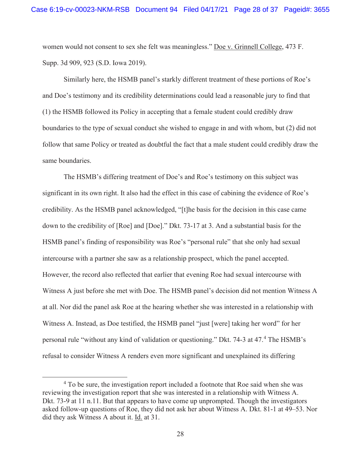women would not consent to sex she felt was meaningless." Doe v. Grinnell College, 473 F. Supp. 3d 909, 923 (S.D. Iowa 2019).

Similarly here, the HSMB panel's starkly different treatment of these portions of Roe's and Doe's testimony and its credibility determinations could lead a reasonable jury to find that (1) the HSMB followed its Policy in accepting that a female student could credibly draw boundaries to the type of sexual conduct she wished to engage in and with whom, but (2) did not follow that same Policy or treated as doubtful the fact that a male student could credibly draw the same boundaries.

The HSMB's differing treatment of Doe's and Roe's testimony on this subject was significant in its own right. It also had the effect in this case of cabining the evidence of Roe's credibility. As the HSMB panel acknowledged, "[t]he basis for the decision in this case came down to the credibility of [Roe] and [Doe]." Dkt. 73-17 at 3. And a substantial basis for the HSMB panel's finding of responsibility was Roe's "personal rule" that she only had sexual intercourse with a partner she saw as a relationship prospect, which the panel accepted. However, the record also reflected that earlier that evening Roe had sexual intercourse with Witness A just before she met with Doe. The HSMB panel's decision did not mention Witness A at all. Nor did the panel ask Roe at the hearing whether she was interested in a relationship with Witness A. Instead, as Doe testified, the HSMB panel "just [were] taking her word" for her personal rule "without any kind of validation or questioning." Dkt. 74-3 at 47.<sup>4</sup> The HSMB's refusal to consider Witness A renders even more significant and unexplained its differing

<sup>&</sup>lt;sup>4</sup> To be sure, the investigation report included a footnote that Roe said when she was reviewing the investigation report that she was interested in a relationship with Witness A. Dkt. 73-9 at 11 n.11. But that appears to have come up unprompted. Though the investigators asked follow-up questions of Roe, they did not ask her about Witness A. Dkt. 81-1 at 49–53. Nor did they ask Witness A about it. Id. at 31.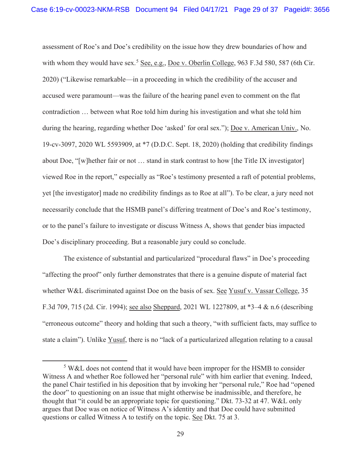assessment of Roe's and Doe's credibility on the issue how they drew boundaries of how and with whom they would have sex.<sup>5</sup> See, e.g., Doe v. Oberlin College, 963 F.3d 580, 587 (6th Cir. 2020) ("Likewise remarkable—in a proceeding in which the credibility of the accuser and accused were paramount—was the failure of the hearing panel even to comment on the flat contradiction … between what Roe told him during his investigation and what she told him during the hearing, regarding whether Doe 'asked' for oral sex."); <u>Doe v. American Univ.</u>, No. 19-cv-3097, 2020 WL 5593909, at \*7 (D.D.C. Sept. 18, 2020) (holding that credibility findings about Doe, "[w]hether fair or not … stand in stark contrast to how [the Title IX investigator] viewed Roe in the report," especially as "Roe's testimony presented a raft of potential problems, yet [the investigator] made no credibility findings as to Roe at all"). To be clear, a jury need not necessarily conclude that the HSMB panel's differing treatment of Doe's and Roe's testimony, or to the panel's failure to investigate or discuss Witness A, shows that gender bias impacted Doe's disciplinary proceeding. But a reasonable jury could so conclude.

The existence of substantial and particularized "procedural flaws" in Doe's proceeding "affecting the proof" only further demonstrates that there is a genuine dispute of material fact whether W&L discriminated against Doe on the basis of sex. See Yusuf v. Vassar College, 35 F.3d 709, 715 (2d. Cir. 1994); see also Sheppard, 2021 WL 1227809, at \*3–4 & n.6 (describing "erroneous outcome" theory and holding that such a theory, "with sufficient facts, may suffice to state a claim"). Unlike Yusuf, there is no "lack of a particularized allegation relating to a causal

<sup>&</sup>lt;sup>5</sup> W&L does not contend that it would have been improper for the HSMB to consider Witness A and whether Roe followed her "personal rule" with him earlier that evening. Indeed, the panel Chair testified in his deposition that by invoking her "personal rule," Roe had "opened the door" to questioning on an issue that might otherwise be inadmissible, and therefore, he thought that "it could be an appropriate topic for questioning." Dkt. 73-32 at 47. W&L only argues that Doe was on notice of Witness A's identity and that Doe could have submitted questions or called Witness A to testify on the topic. See Dkt. 75 at 3.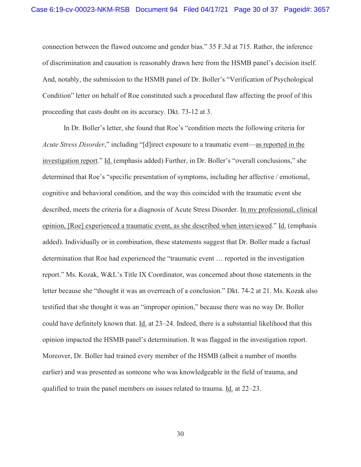connection between the flawed outcome and gender bias." 35 F.3d at 715. Rather, the inference of discrimination and causation is reasonably drawn here from the HSMB panel's decision itself. And, notably, the submission to the HSMB panel of Dr. Boller's "Verification of Psychological Condition" letter on behalf of Roe constituted such a procedural flaw affecting the proof of this proceeding that casts doubt on its accuracy. Dkt. 73-12 at 3.

In Dr. Boller's letter, she found that Roe's "condition meets the following criteria for *Acute Stress Disorder*," including "[d]irect exposure to a traumatic event—as reported in the investigation report." Id. (emphasis added) Further, in Dr. Boller's "overall conclusions," she determined that Roe's "specific presentation of symptoms, including her affective / emotional, cognitive and behavioral condition, and the way this coincided with the traumatic event she described, meets the criteria for a diagnosis of Acute Stress Disorder. In my professional, clinical opinion, [Roe] experienced a traumatic event, as she described when interviewed." Id. (emphasis added). Individually or in combination, these statements suggest that Dr. Boller made a factual determination that Roe had experienced the "traumatic event … reported in the investigation report." Ms. Kozak, W&L's Title IX Coordinator, was concerned about those statements in the letter because she "thought it was an overreach of a conclusion." Dkt. 74-2 at 21. Ms. Kozak also testified that she thought it was an "improper opinion," because there was no way Dr. Boller could have definitely known that. Id. at 23–24. Indeed, there is a substantial likelihood that this opinion impacted the HSMB panel's determination. It was flagged in the investigation report. Moreover, Dr. Boller had trained every member of the HSMB (albeit a number of months earlier) and was presented as someone who was knowledgeable in the field of trauma, and qualified to train the panel members on issues related to trauma. Id. at 22–23.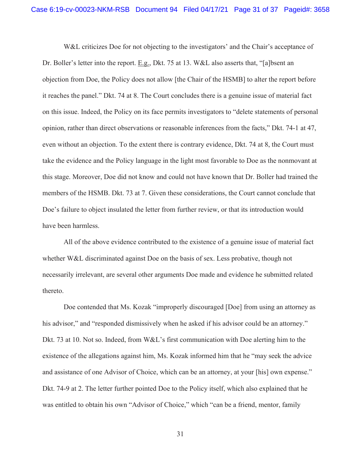W&L criticizes Doe for not objecting to the investigators' and the Chair's acceptance of Dr. Boller's letter into the report. E.g., Dkt. 75 at 13. W&L also asserts that, "[a]bsent an objection from Doe, the Policy does not allow [the Chair of the HSMB] to alter the report before it reaches the panel." Dkt. 74 at 8. The Court concludes there is a genuine issue of material fact on this issue. Indeed, the Policy on its face permits investigators to "delete statements of personal opinion, rather than direct observations or reasonable inferences from the facts," Dkt. 74-1 at 47, even without an objection. To the extent there is contrary evidence, Dkt. 74 at 8, the Court must take the evidence and the Policy language in the light most favorable to Doe as the nonmovant at this stage. Moreover, Doe did not know and could not have known that Dr. Boller had trained the members of the HSMB. Dkt. 73 at 7. Given these considerations, the Court cannot conclude that Doe's failure to object insulated the letter from further review, or that its introduction would have been harmless.

All of the above evidence contributed to the existence of a genuine issue of material fact whether W&L discriminated against Doe on the basis of sex. Less probative, though not necessarily irrelevant, are several other arguments Doe made and evidence he submitted related thereto.

Doe contended that Ms. Kozak "improperly discouraged [Doe] from using an attorney as his advisor," and "responded dismissively when he asked if his advisor could be an attorney." Dkt. 73 at 10. Not so. Indeed, from W&L's first communication with Doe alerting him to the existence of the allegations against him, Ms. Kozak informed him that he "may seek the advice and assistance of one Advisor of Choice, which can be an attorney, at your [his] own expense." Dkt. 74-9 at 2. The letter further pointed Doe to the Policy itself, which also explained that he was entitled to obtain his own "Advisor of Choice," which "can be a friend, mentor, family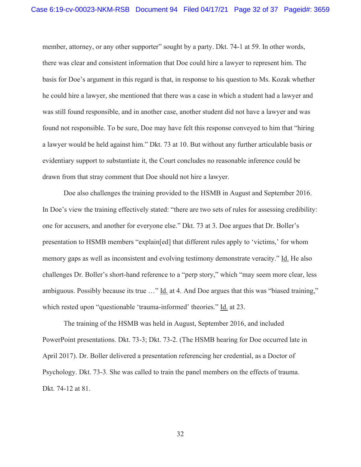member, attorney, or any other supporter" sought by a party. Dkt. 74-1 at 59. In other words, there was clear and consistent information that Doe could hire a lawyer to represent him. The basis for Doe's argument in this regard is that, in response to his question to Ms. Kozak whether he could hire a lawyer, she mentioned that there was a case in which a student had a lawyer and was still found responsible, and in another case, another student did not have a lawyer and was found not responsible. To be sure, Doe may have felt this response conveyed to him that "hiring a lawyer would be held against him." Dkt. 73 at 10. But without any further articulable basis or evidentiary support to substantiate it, the Court concludes no reasonable inference could be drawn from that stray comment that Doe should not hire a lawyer.

Doe also challenges the training provided to the HSMB in August and September 2016. In Doe's view the training effectively stated: "there are two sets of rules for assessing credibility: one for accusers, and another for everyone else." Dkt. 73 at 3. Doe argues that Dr. Boller's presentation to HSMB members "explain[ed] that different rules apply to 'victims,' for whom memory gaps as well as inconsistent and evolving testimony demonstrate veracity." Id. He also challenges Dr. Boller's short-hand reference to a "perp story," which "may seem more clear, less ambiguous. Possibly because its true …" Id. at 4. And Doe argues that this was "biased training," which rested upon "questionable 'trauma-informed' theories." Id. at 23.

The training of the HSMB was held in August, September 2016, and included PowerPoint presentations. Dkt. 73-3; Dkt. 73-2. (The HSMB hearing for Doe occurred late in April 2017). Dr. Boller delivered a presentation referencing her credential, as a Doctor of Psychology. Dkt. 73-3. She was called to train the panel members on the effects of trauma. Dkt. 74-12 at 81.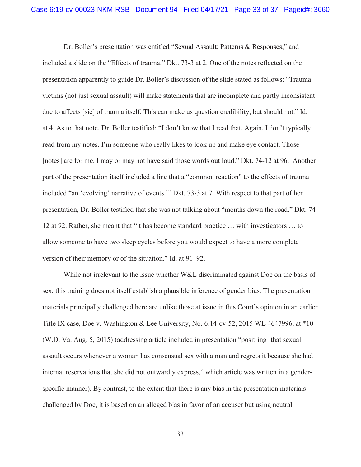Dr. Boller's presentation was entitled "Sexual Assault: Patterns & Responses," and included a slide on the "Effects of trauma." Dkt. 73-3 at 2. One of the notes reflected on the presentation apparently to guide Dr. Boller's discussion of the slide stated as follows: "Trauma victims (not just sexual assault) will make statements that are incomplete and partly inconsistent due to affects [sic] of trauma itself. This can make us question credibility, but should not." Id. at 4. As to that note, Dr. Boller testified: "I don't know that I read that. Again, I don't typically read from my notes. I'm someone who really likes to look up and make eye contact. Those [notes] are for me. I may or may not have said those words out loud." Dkt. 74-12 at 96. Another part of the presentation itself included a line that a "common reaction" to the effects of trauma included "an 'evolving' narrative of events.'" Dkt. 73-3 at 7. With respect to that part of her presentation, Dr. Boller testified that she was not talking about "months down the road." Dkt. 74- 12 at 92. Rather, she meant that "it has become standard practice … with investigators … to allow someone to have two sleep cycles before you would expect to have a more complete version of their memory or of the situation." Id. at 91–92.

While not irrelevant to the issue whether W&L discriminated against Doe on the basis of sex, this training does not itself establish a plausible inference of gender bias. The presentation materials principally challenged here are unlike those at issue in this Court's opinion in an earlier Title IX case, Doe v. Washington & Lee University, No. 6:14-cv-52, 2015 WL 4647996, at \*10 (W.D. Va. Aug. 5, 2015) (addressing article included in presentation "posit[ing] that sexual assault occurs whenever a woman has consensual sex with a man and regrets it because she had internal reservations that she did not outwardly express," which article was written in a genderspecific manner). By contrast, to the extent that there is any bias in the presentation materials challenged by Doe, it is based on an alleged bias in favor of an accuser but using neutral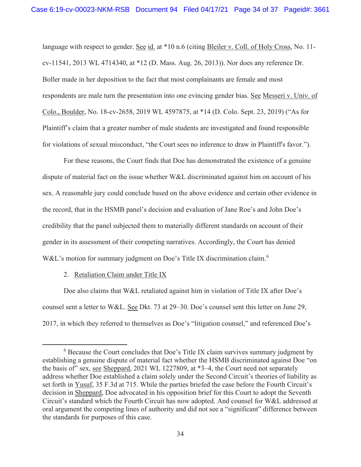language with respect to gender. See id. at \*10 n.6 (citing Bleiler v. Coll. of Holy Cross, No. 11cv-11541, 2013 WL 4714340, at \*12 (D. Mass. Aug. 26, 2013)). Nor does any reference Dr. Boller made in her deposition to the fact that most complainants are female and most respondents are male turn the presentation into one evincing gender bias. See Messeri v. Univ. of Colo., Boulder, No. 18-cv-2658, 2019 WL 4597875, at \*14 (D. Colo. Sept. 23, 2019) ("As for Plaintiff's claim that a greater number of male students are investigated and found responsible for violations of sexual misconduct, "the Court sees no inference to draw in Plaintiff's favor.").

For these reasons, the Court finds that Doe has demonstrated the existence of a genuine dispute of material fact on the issue whether W&L discriminated against him on account of his sex. A reasonable jury could conclude based on the above evidence and certain other evidence in the record, that in the HSMB panel's decision and evaluation of Jane Roe's and John Doe's credibility that the panel subjected them to materially different standards on account of their gender in its assessment of their competing narratives. Accordingly, the Court has denied W&L's motion for summary judgment on Doe's Title IX discrimination claim.<sup>6</sup>

# 2. Retaliation Claim under Title IX

Doe also claims that W&L retaliated against him in violation of Title IX after Doe's counsel sent a letter to W&L. See Dkt. 73 at 29–30. Doe's counsel sent this letter on June 29, 2017, in which they referred to themselves as Doe's "litigation counsel," and referenced Doe's

<sup>&</sup>lt;sup>6</sup> Because the Court concludes that Doe's Title IX claim survives summary judgment by establishing a genuine dispute of material fact whether the HSMB discriminated against Doe "on the basis of" sex, see Sheppard, 2021 WL 1227809, at \*3–4, the Court need not separately address whether Doe established a claim solely under the Second Circuit's theories of liability as set forth in Yusuf, 35 F.3d at 715. While the parties briefed the case before the Fourth Circuit's decision in Sheppard, Doe advocated in his opposition brief for this Court to adopt the Seventh Circuit's standard which the Fourth Circuit has now adopted. And counsel for W&L addressed at oral argument the competing lines of authority and did not see a "significant" difference between the standards for purposes of this case.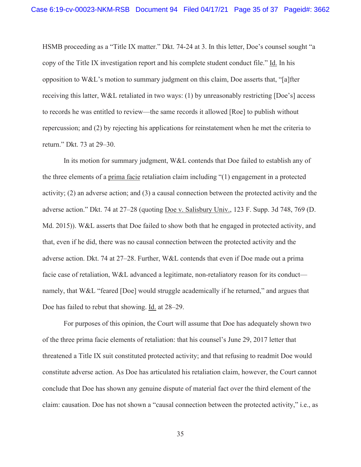HSMB proceeding as a "Title IX matter." Dkt. 74-24 at 3. In this letter, Doe's counsel sought "a copy of the Title IX investigation report and his complete student conduct file." Id. In his opposition to W&L's motion to summary judgment on this claim, Doe asserts that, "[a]fter receiving this latter, W&L retaliated in two ways: (1) by unreasonably restricting [Doe's] access to records he was entitled to review—the same records it allowed [Roe] to publish without repercussion; and (2) by rejecting his applications for reinstatement when he met the criteria to return." Dkt. 73 at 29–30.

In its motion for summary judgment, W&L contends that Doe failed to establish any of the three elements of a prima facie retaliation claim including "(1) engagement in a protected activity; (2) an adverse action; and (3) a causal connection between the protected activity and the adverse action." Dkt. 74 at 27–28 (quoting Doe v. Salisbury Univ., 123 F. Supp. 3d 748, 769 (D. Md. 2015)). W&L asserts that Doe failed to show both that he engaged in protected activity, and that, even if he did, there was no causal connection between the protected activity and the adverse action. Dkt. 74 at 27–28. Further, W&L contends that even if Doe made out a prima facie case of retaliation, W&L advanced a legitimate, non-retaliatory reason for its conduct namely, that W&L "feared [Doe] would struggle academically if he returned," and argues that Doe has failed to rebut that showing. Id. at 28–29.

For purposes of this opinion, the Court will assume that Doe has adequately shown two of the three prima facie elements of retaliation: that his counsel's June 29, 2017 letter that threatened a Title IX suit constituted protected activity; and that refusing to readmit Doe would constitute adverse action. As Doe has articulated his retaliation claim, however, the Court cannot conclude that Doe has shown any genuine dispute of material fact over the third element of the claim: causation. Doe has not shown a "causal connection between the protected activity," i.e., as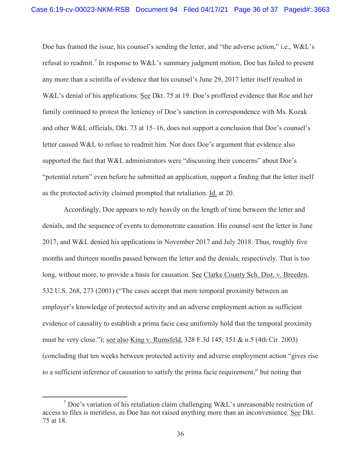Doe has framed the issue, his counsel's sending the letter, and "the adverse action," i.e., W&L's refusal to readmit.<sup>7</sup> In response to W&L's summary judgment motion, Doe has failed to present any more than a scintilla of evidence that his counsel's June 29, 2017 letter itself resulted in W&L's denial of his applications. See Dkt. 75 at 19. Doe's proffered evidence that Roe and her family continued to protest the leniency of Doe's sanction in correspondence with Ms. Kozak and other W&L officials, Dkt. 73 at 15–16, does not support a conclusion that Doe's counsel's letter caused W&L to refuse to readmit him. Nor does Doe's argument that evidence also supported the fact that W&L administrators were "discussing their concerns" about Doe's "potential return" even before he submitted an application, support a finding that the letter itself as the protected activity claimed prompted that retaliation. Id. at 20.

Accordingly, Doe appears to rely heavily on the length of time between the letter and denials, and the sequence of events to demonstrate causation. His counsel sent the letter in June 2017, and W&L denied his applications in November 2017 and July 2018. Thus, roughly five months and thirteen months passed between the letter and the denials, respectively. That is too long, without more, to provide a basis for causation. See Clarke County Sch. Dist. v. Breeden, 532 U.S. 268, 273 (2001) ("The cases accept that mere temporal proximity between an employer's knowledge of protected activity and an adverse employment action as sufficient evidence of causality to establish a prima facie case uniformly hold that the temporal proximity must be very close."); see also King v. Rumsfeld, 328 F.3d 145, 151 & n.5 (4th Cir. 2003) (concluding that ten weeks between protected activity and adverse employment action "gives rise to a sufficient inference of causation to satisfy the prima facie requirement," but noting that

<sup>&</sup>lt;sup>7</sup> Doe's variation of his retaliation claim challenging W&L's unreasonable restriction of access to files is meritless, as Doe has not raised anything more than an inconvenience. See Dkt. 75 at 18.